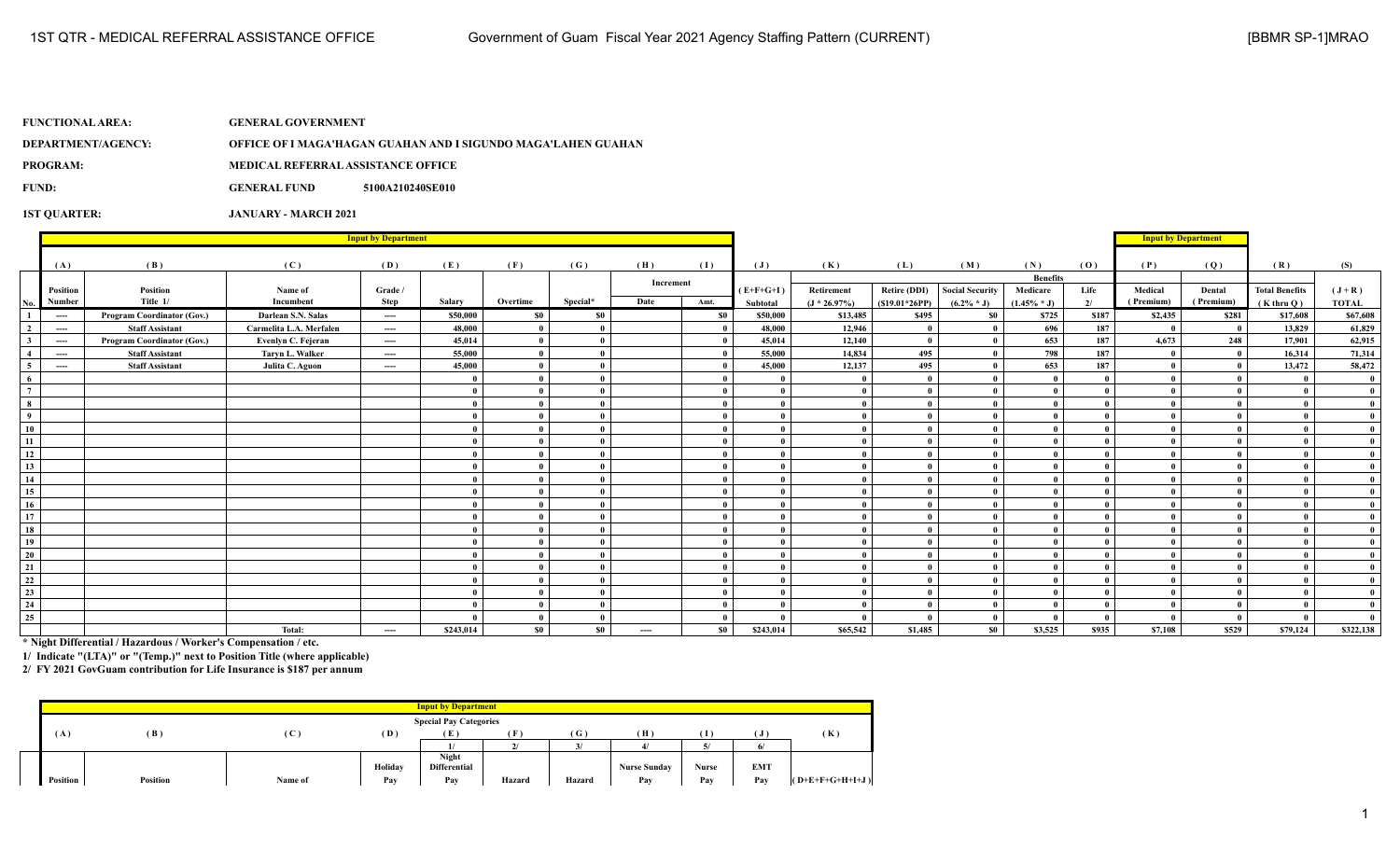| FUNCTIONAL AREA: \ | <b>GENERAL GOVERNMENT</b>                 |                                                               |
|--------------------|-------------------------------------------|---------------------------------------------------------------|
| DEPARTMENT/AGENCY: |                                           | OFFICE OF I MAGA'HAGAN GUAHAN AND I SIGUNDO MAGA'LAHEN GUAHAN |
| <b>PROGRAM:</b>    | <b>MEDICAL REFERRAL ASSISTANCE OFFICE</b> |                                                               |
| FUND:              | <b>GENERAL FUND</b>                       | 5100A210240SE010                                              |
|                    |                                           |                                                               |

**1ST QUARTER: JANUARY - MARCH 2021**

|                 | <b>Input by Department</b> |                                   |                         |          |           |              |          |           |           |                |                 |                     |                        | <b>Input by Department</b> |       |           |              |                       |              |
|-----------------|----------------------------|-----------------------------------|-------------------------|----------|-----------|--------------|----------|-----------|-----------|----------------|-----------------|---------------------|------------------------|----------------------------|-------|-----------|--------------|-----------------------|--------------|
|                 | (A)                        | (B)                               | (C)                     | (D)      | (E)       | (F)          | (G)      | (H)       | (I)       | $(\mathbf{J})$ | (K)             | (L)                 | (M)                    | (N)                        | (0)   | (P)       | (Q)          | (R)                   | (S)          |
|                 |                            |                                   |                         |          |           |              |          | Increment |           |                |                 |                     |                        | <b>Benefits</b>            |       |           |              |                       |              |
|                 | Position                   | Position                          | Name of                 | Grade /  |           |              |          |           |           | $(E+F+G+I)$    | Retirement      | <b>Retire (DDI)</b> | <b>Social Security</b> | Medicare                   | Life  | Medical   | Dental       | <b>Total Benefits</b> | $(J+R)$      |
| No.             | Number                     | Title 1/                          | Incumbent               | Step     | Salary    | Overtime     | Special* | Date      | Amt.      | Subtotal       | $(J * 26.97\%)$ | $(S19.01*26PP)$     | $(6.2\% * J)$          | $(1.45\% * J)$             | 2/    | (Premium) | (Premium)    | $(K$ thru $O)$        | <b>TOTAL</b> |
|                 | $-\!-\!-\!$                | Program Coordinator (Gov.)        | Darlean S.N. Salas      | $\cdots$ | \$50,000  | <b>SO</b>    | \$0      |           | \$0       | \$50,000       | \$13,485        | \$495               | \$0                    | \$725                      | \$187 | \$2,435   | \$281        | \$17,608              | \$67,608     |
| $\overline{2}$  | $\cdots$                   | <b>Staff Assistant</b>            | Carmelita L.A. Merfalen | $\cdots$ | 48,000    | $\bf{0}$     |          |           |           | 48,000         | 12,946          | $\theta$            | - 0                    | 696                        | 187   | - 0       | $\mathbf{0}$ | 13,829                | 61,829       |
| 3               | ----                       | <b>Program Coordinator (Gov.)</b> | Evenlyn C. Fejeran      | $---$    | 45,014    | $\mathbf{0}$ |          |           |           | 45,014         | 12,140          | $\mathbf{0}$        | - 0                    | 653                        | 187   | 4.673     | 248          | 17,901                | 62,915       |
| $\overline{4}$  | $---$                      | <b>Staff Assistant</b>            | Taryn L. Walker         | $---$    | 55,000    | $\bf{0}$     |          |           |           | 55,000         | 14,834          | 495                 | - 0                    | 798                        | 187   |           | $\mathbf{0}$ | 16.314                | 71,314       |
| -5              | $-$                        | <b>Staff Assistant</b>            | Julita C. Aguon         | $---$    | 45,000    | $\theta$     |          |           |           | 45,000         | 12,137          | 495                 | - 0                    | 653                        | 187   |           | $\mathbf{0}$ | 13,472                | 58,472       |
| -6              |                            |                                   |                         |          |           | $\theta$     |          |           |           |                |                 | $\mathbf{0}$        | $\theta$               |                            |       |           |              |                       |              |
| $7\overline{ }$ |                            |                                   |                         |          |           | $\mathbf{0}$ |          |           |           |                | $\mathbf{0}$    | $\mathbf{0}$        | - 0                    |                            |       |           |              |                       |              |
| 8               |                            |                                   |                         |          |           | $\theta$     |          |           |           |                | $\theta$        | $\mathbf{0}$        | - 0                    |                            |       |           |              |                       |              |
| $\overline{9}$  |                            |                                   |                         |          | 0         | $\bf{0}$     |          |           |           | $\mathbf{a}$   | $\theta$        | $\bf{0}$            | $\mathbf{0}$           |                            |       |           | $\theta$     |                       |              |
| 10              |                            |                                   |                         |          | 0         | $\bf{0}$     |          |           |           |                | $\mathbf{0}$    | $\mathbf{0}$        | $\mathbf{0}$           |                            |       |           | $\mathbf{0}$ |                       |              |
| 11              |                            |                                   |                         |          |           | $\bf{0}$     |          |           |           | $\theta$       | $\mathbf{0}$    | $\mathbf{0}$        | - 0                    |                            |       |           |              |                       |              |
| 12              |                            |                                   |                         |          |           | $\mathbf{0}$ |          |           |           | $\mathbf{a}$   | $\theta$        | $\mathbf{0}$        | - 0                    |                            |       |           |              |                       |              |
| 13              |                            |                                   |                         |          |           | $\theta$     |          |           |           | $\mathbf{a}$   | $\theta$        | $\mathbf{0}$        | $\mathbf{0}$           |                            |       |           |              |                       |              |
| 14              |                            |                                   |                         |          |           | $\theta$     |          |           |           |                | $\theta$        | $\mathbf{0}$        | $\mathbf{a}$           |                            |       |           |              |                       |              |
| 15              |                            |                                   |                         |          |           | $\mathbf{0}$ |          |           |           |                |                 | $\mathbf{0}$        | $\mathbf{0}$           |                            |       |           |              |                       |              |
| 16              |                            |                                   |                         |          |           | $\theta$     |          |           |           |                | $\theta$        | $\mathbf{0}$        | - 0                    |                            |       |           |              |                       |              |
| 17              |                            |                                   |                         |          |           | $\bf{0}$     |          |           |           | $\mathbf{a}$   | $\mathbf{0}$    | $\mathbf{0}$        | $\mathbf{0}$           |                            |       |           | $\theta$     |                       |              |
| 18              |                            |                                   |                         |          |           | $\theta$     |          |           |           |                | $\theta$        | $\theta$            | - 0                    |                            |       |           |              |                       |              |
| 19              |                            |                                   |                         |          |           | - 0          |          |           |           |                | $\theta$        | $\mathbf{0}$        | - 0                    |                            |       |           |              |                       |              |
| 20              |                            |                                   |                         |          | 0         | $\bf{0}$     |          |           |           | $\mathbf{a}$   | $\theta$        | $\mathbf{0}$        | - 0                    |                            |       |           | $\mathbf{u}$ |                       |              |
| 21              |                            |                                   |                         |          |           | $\theta$     |          |           |           |                | $\mathbf{a}$    | $\mathbf{0}$        | $\mathbf{a}$           |                            |       |           |              |                       |              |
| 22              |                            |                                   |                         |          |           | $\mathbf{0}$ |          |           |           |                | $\theta$        | $\mathbf{0}$        | - 0                    |                            |       |           |              |                       |              |
| 23              |                            |                                   |                         |          |           | $\bf{0}$     |          |           |           |                | $\mathbf{0}$    | $\mathbf{0}$        | - 0                    |                            |       |           |              |                       |              |
| 24              |                            |                                   |                         |          |           | $\mathbf{0}$ |          |           |           |                | $\mathbf{0}$    | $\mathbf{0}$        | $\mathbf{0}$           |                            |       |           |              |                       |              |
| 25              |                            |                                   |                         |          |           | $\bf{0}$     |          |           |           |                | $\theta$        | $\theta$            | $\mathbf{0}$           |                            |       |           | $\mathbf{0}$ |                       |              |
|                 |                            |                                   | Total:                  | $\cdots$ | \$243,014 | $\$0$        | $\$0$    | ----      | <b>SO</b> | \$243,014      | \$65,542        | \$1,485             | S <sub>0</sub>         | \$3,525                    | \$935 | \$7,108   | \$529        | \$79,124              | \$322,138    |

**\* Night Differential / Hazardous / Worker's Compensation / etc.**

**1/ Indicate "(LTA)" or "(Temp.)" next to Position Title (where applicable)**

**2/ FY 2021 GovGuam contribution for Life Insurance is \$187 per annum**

|                               |          |                                |         | <b>Input by Department</b> |        |        |                     |              |                 |                   |
|-------------------------------|----------|--------------------------------|---------|----------------------------|--------|--------|---------------------|--------------|-----------------|-------------------|
|                               |          |                                |         |                            |        |        |                     |              |                 |                   |
| <b>Special Pay Categories</b> |          |                                |         |                            |        |        |                     |              |                 |                   |
| (A)                           | (B)      | $\left( \, {\bf C} \, \right]$ | (D)     | Έ.                         | (F)    | (G)    | (H)                 | Ί            |                 | (K)               |
|                               |          |                                |         |                            |        | 21     |                     |              | $\epsilon$<br>6 |                   |
|                               |          |                                |         | Night                      |        |        |                     |              |                 |                   |
|                               |          |                                | Holiday | <b>Differential</b>        |        |        | <b>Nurse Sunday</b> | <b>Nurse</b> | <b>EMT</b>      |                   |
| Position                      | Position | Name of                        | Pay     | Pay                        | Hazard | Hazard | Pay                 | Pay          | Pay             | $(O+E+F+G+H+I+J)$ |